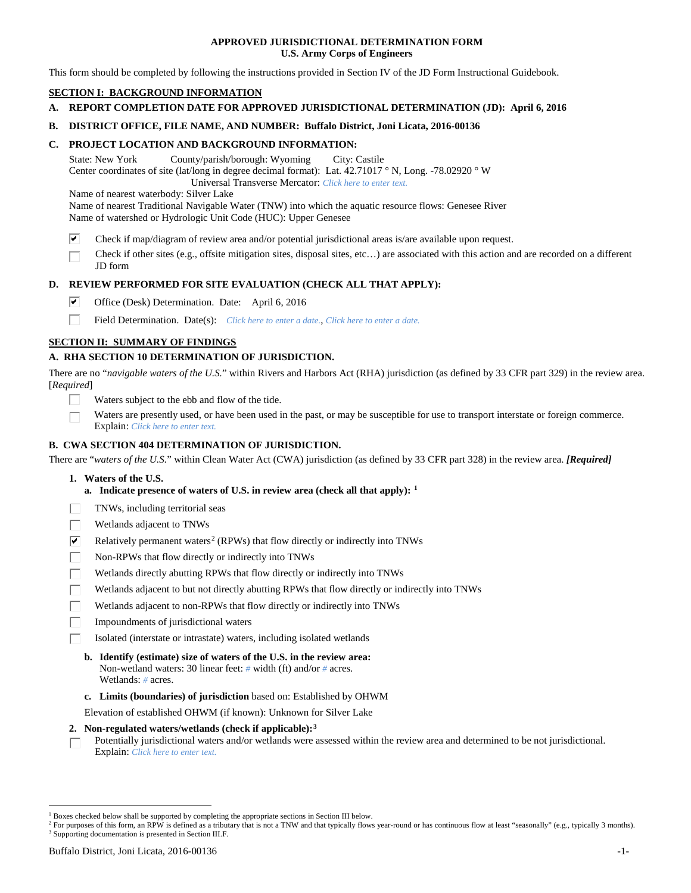### **APPROVED JURISDICTIONAL DETERMINATION FORM U.S. Army Corps of Engineers**

This form should be completed by following the instructions provided in Section IV of the JD Form Instructional Guidebook.

# **SECTION I: BACKGROUND INFORMATION**

- **A. REPORT COMPLETION DATE FOR APPROVED JURISDICTIONAL DETERMINATION (JD): April 6, 2016**
- **B. DISTRICT OFFICE, FILE NAME, AND NUMBER: Buffalo District, Joni Licata, 2016-00136**

### **C. PROJECT LOCATION AND BACKGROUND INFORMATION:**

State: New York County/parish/borough: Wyoming City: Castile Center coordinates of site (lat/long in degree decimal format): Lat. 42.71017 ° N, Long. -78.02920 ° W Universal Transverse Mercator: *Click here to enter text.*

Name of nearest waterbody: Silver Lake

Name of nearest Traditional Navigable Water (TNW) into which the aquatic resource flows: Genesee River Name of watershed or Hydrologic Unit Code (HUC): Upper Genesee

- ☑ Check if map/diagram of review area and/or potential jurisdictional areas is/are available upon request.
- Check if other sites (e.g., offsite mitigation sites, disposal sites, etc…) are associated with this action and are recorded on a different JD form

# **D. REVIEW PERFORMED FOR SITE EVALUATION (CHECK ALL THAT APPLY):**

- ⊽ Office (Desk) Determination. Date: April 6, 2016
- п Field Determination. Date(s): *Click here to enter a date.*, *Click here to enter a date.*

## **SECTION II: SUMMARY OF FINDINGS**

### **A. RHA SECTION 10 DETERMINATION OF JURISDICTION.**

There are no "*navigable waters of the U.S.*" within Rivers and Harbors Act (RHA) jurisdiction (as defined by 33 CFR part 329) in the review area. [*Required*]

- Waters subject to the ebb and flow of the tide.
- Waters are presently used, or have been used in the past, or may be susceptible for use to transport interstate or foreign commerce. Explain: *Click here to enter text.*

### **B. CWA SECTION 404 DETERMINATION OF JURISDICTION.**

There are "*waters of the U.S.*" within Clean Water Act (CWA) jurisdiction (as defined by 33 CFR part 328) in the review area. *[Required]*

- **1. Waters of the U.S.**
	- **a. Indicate presence of waters of U.S. in review area (check all that apply): [1](#page-0-0)**
- TNWs, including territorial seas
- Wetlands adjacent to TNWs
- $\overline{\mathbf{v}}$ Relatively permanent waters<sup>[2](#page-0-1)</sup> (RPWs) that flow directly or indirectly into TNWs
- П Non-RPWs that flow directly or indirectly into TNWs
- Wetlands directly abutting RPWs that flow directly or indirectly into TNWs
- Wetlands adjacent to but not directly abutting RPWs that flow directly or indirectly into TNWs
- Wetlands adjacent to non-RPWs that flow directly or indirectly into TNWs
- Impoundments of jurisdictional waters
- Isolated (interstate or intrastate) waters, including isolated wetlands
	- **b. Identify (estimate) size of waters of the U.S. in the review area:** Non-wetland waters: 30 linear feet: *#* width (ft) and/or *#* acres. Wetlands: *#* acres.
	- **c. Limits (boundaries) of jurisdiction** based on: Established by OHWM

Elevation of established OHWM (if known): Unknown for Silver Lake

### **2. Non-regulated waters/wetlands (check if applicable):[3](#page-0-2)**

Potentially jurisdictional waters and/or wetlands were assessed within the review area and determined to be not jurisdictional. П Explain: *Click here to enter text.*

<span id="page-0-0"></span><sup>&</sup>lt;sup>1</sup> Boxes checked below shall be supported by completing the appropriate sections in Section III below.

<span id="page-0-2"></span><span id="page-0-1"></span><sup>&</sup>lt;sup>2</sup> For purposes of this form, an RPW is defined as a tributary that is not a TNW and that typically flows year-round or has continuous flow at least "seasonally" (e.g., typically 3 months). <sup>3</sup> Supporting documentation is presented in Section III.F.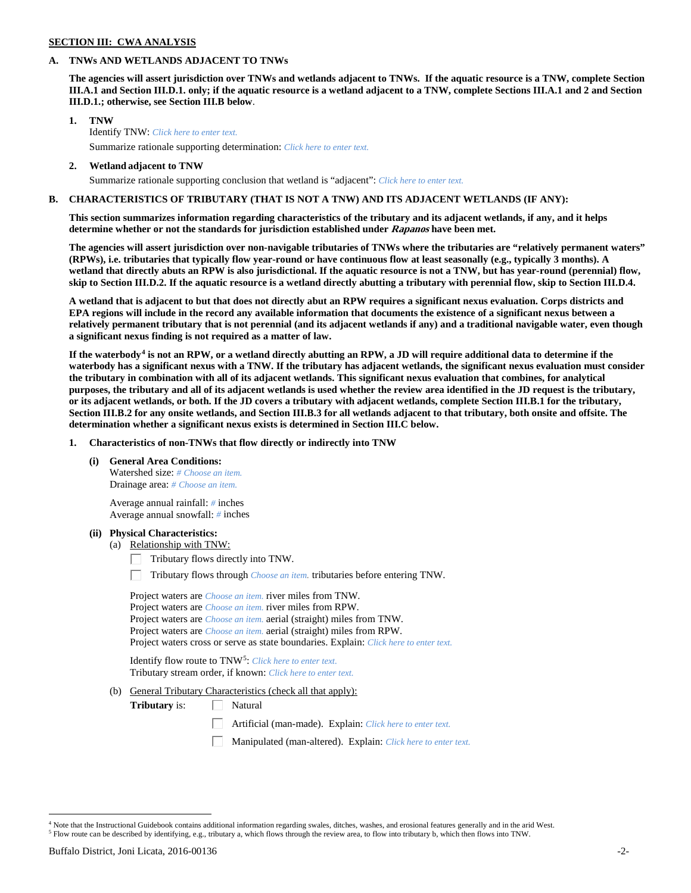## **SECTION III: CWA ANALYSIS**

### **A. TNWs AND WETLANDS ADJACENT TO TNWs**

**The agencies will assert jurisdiction over TNWs and wetlands adjacent to TNWs. If the aquatic resource is a TNW, complete Section III.A.1 and Section III.D.1. only; if the aquatic resource is a wetland adjacent to a TNW, complete Sections III.A.1 and 2 and Section III.D.1.; otherwise, see Section III.B below**.

- **1. TNW**  Identify TNW: *Click here to enter text.*
	- Summarize rationale supporting determination: *Click here to enter text.*
- **2. Wetland adjacent to TNW** Summarize rationale supporting conclusion that wetland is "adjacent": *Click here to enter text.*

## **B. CHARACTERISTICS OF TRIBUTARY (THAT IS NOT A TNW) AND ITS ADJACENT WETLANDS (IF ANY):**

**This section summarizes information regarding characteristics of the tributary and its adjacent wetlands, if any, and it helps determine whether or not the standards for jurisdiction established under Rapanos have been met.** 

**The agencies will assert jurisdiction over non-navigable tributaries of TNWs where the tributaries are "relatively permanent waters" (RPWs), i.e. tributaries that typically flow year-round or have continuous flow at least seasonally (e.g., typically 3 months). A wetland that directly abuts an RPW is also jurisdictional. If the aquatic resource is not a TNW, but has year-round (perennial) flow, skip to Section III.D.2. If the aquatic resource is a wetland directly abutting a tributary with perennial flow, skip to Section III.D.4.**

**A wetland that is adjacent to but that does not directly abut an RPW requires a significant nexus evaluation. Corps districts and EPA regions will include in the record any available information that documents the existence of a significant nexus between a relatively permanent tributary that is not perennial (and its adjacent wetlands if any) and a traditional navigable water, even though a significant nexus finding is not required as a matter of law.**

**If the waterbody[4](#page-1-0) is not an RPW, or a wetland directly abutting an RPW, a JD will require additional data to determine if the waterbody has a significant nexus with a TNW. If the tributary has adjacent wetlands, the significant nexus evaluation must consider the tributary in combination with all of its adjacent wetlands. This significant nexus evaluation that combines, for analytical purposes, the tributary and all of its adjacent wetlands is used whether the review area identified in the JD request is the tributary, or its adjacent wetlands, or both. If the JD covers a tributary with adjacent wetlands, complete Section III.B.1 for the tributary, Section III.B.2 for any onsite wetlands, and Section III.B.3 for all wetlands adjacent to that tributary, both onsite and offsite. The determination whether a significant nexus exists is determined in Section III.C below.**

**1. Characteristics of non-TNWs that flow directly or indirectly into TNW**

**(i) General Area Conditions:**

Watershed size: *# Choose an item.* Drainage area: *# Choose an item.*

Average annual rainfall: *#* inches Average annual snowfall: *#* inches

### **(ii) Physical Characteristics:**

- (a) Relationship with TNW:
	- Tributary flows directly into TNW. Г.

Tributary flows through *Choose an item.* tributaries before entering TNW.

Project waters are *Choose an item.* river miles from TNW. Project waters are *Choose an item.* river miles from RPW. Project waters are *Choose an item.* aerial (straight) miles from TNW. Project waters are *Choose an item.* aerial (straight) miles from RPW. Project waters cross or serve as state boundaries. Explain: *Click here to enter text.*

Identify flow route to TNW[5:](#page-1-1) *Click here to enter text.* Tributary stream order, if known: *Click here to enter text.*

(b) General Tributary Characteristics (check all that apply):

**Tributary** is:  $\Box$  Natural

- Artificial (man-made). Explain: *Click here to enter text.*
- Manipulated (man-altered). Explain: *Click here to enter text.*

<span id="page-1-1"></span><span id="page-1-0"></span><sup>&</sup>lt;sup>4</sup> Note that the Instructional Guidebook contains additional information regarding swales, ditches, washes, and erosional features generally and in the arid West. <sup>5</sup> Flow route can be described by identifying, e.g., tributary a, which flows through the review area, to flow into tributary b, which then flows into TNW.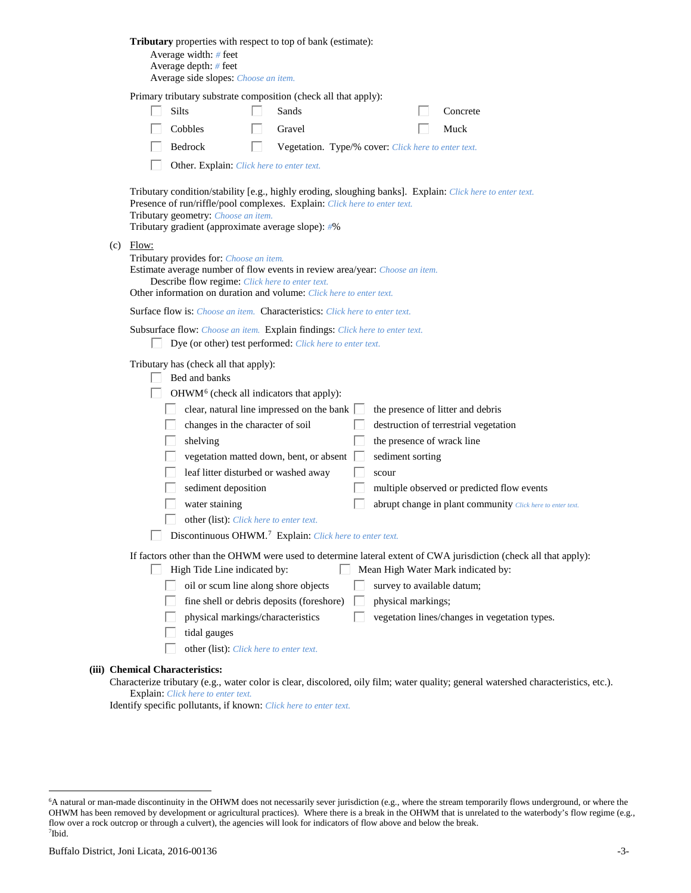| Tributary properties with respect to top of bank (estimate):<br>Average width: # feet<br>Average depth: $#$ feet<br>Average side slopes: Choose an item.                                                                                                                                                                                                                                                                                                                                                                                                                                                                                                                                                              |
|-----------------------------------------------------------------------------------------------------------------------------------------------------------------------------------------------------------------------------------------------------------------------------------------------------------------------------------------------------------------------------------------------------------------------------------------------------------------------------------------------------------------------------------------------------------------------------------------------------------------------------------------------------------------------------------------------------------------------|
| Primary tributary substrate composition (check all that apply):<br>Silts<br>Sands<br>Concrete<br>Cobbles<br>Gravel<br>Muck<br>Bedrock<br>Vegetation. Type/% cover: Click here to enter text.<br>L                                                                                                                                                                                                                                                                                                                                                                                                                                                                                                                     |
| Other. Explain: Click here to enter text.<br>Tributary condition/stability [e.g., highly eroding, sloughing banks]. Explain: Click here to enter text.<br>Presence of run/riffle/pool complexes. Explain: Click here to enter text.<br>Tributary geometry: Choose an item.<br>Tributary gradient (approximate average slope): #%                                                                                                                                                                                                                                                                                                                                                                                      |
| $(c)$ Flow:<br>Tributary provides for: Choose an item.<br>Estimate average number of flow events in review area/year: Choose an item.<br>Describe flow regime: Click here to enter text.<br>Other information on duration and volume: Click here to enter text.                                                                                                                                                                                                                                                                                                                                                                                                                                                       |
| <b>Surface flow is:</b> <i>Choose an item.</i> <b>Characteristics:</b> <i>Click here to enter text.</i>                                                                                                                                                                                                                                                                                                                                                                                                                                                                                                                                                                                                               |
| Subsurface flow: Choose an item. Explain findings: Click here to enter text.<br>Dye (or other) test performed: Click here to enter text.                                                                                                                                                                                                                                                                                                                                                                                                                                                                                                                                                                              |
| Tributary has (check all that apply):<br>Bed and banks<br>OHWM <sup>6</sup> (check all indicators that apply):<br>clear, natural line impressed on the bank $\Box$<br>the presence of litter and debris<br>changes in the character of soil<br>destruction of terrestrial vegetation<br>the presence of wrack line<br>shelving<br>vegetation matted down, bent, or absent<br>sediment sorting<br>leaf litter disturbed or washed away<br>scour<br>sediment deposition<br>multiple observed or predicted flow events<br>water staining<br>abrupt change in plant community Click here to enter text.<br>other (list): Click here to enter text.<br>Discontinuous OHWM. <sup>7</sup> Explain: Click here to enter text. |
| If factors other than the OHWM were used to determine lateral extent of CWA jurisdiction (check all that apply):<br>High Tide Line indicated by:<br>Mean High Water Mark indicated by:<br>L<br>oil or scum line along shore objects<br>survey to available datum;<br>fine shell or debris deposits (foreshore)<br>physical markings;<br>physical markings/characteristics<br>vegetation lines/changes in vegetation types.<br>tidal gauges<br>other (list): Click here to enter text.                                                                                                                                                                                                                                 |
| (iii) Chemical Characteristics:                                                                                                                                                                                                                                                                                                                                                                                                                                                                                                                                                                                                                                                                                       |

Characterize tributary (e.g., water color is clear, discolored, oily film; water quality; general watershed characteristics, etc.). Explain: *Click here to enter text.*

Identify specific pollutants, if known: *Click here to enter text.*

<span id="page-2-1"></span><span id="page-2-0"></span> <sup>6</sup> <sup>6</sup>A natural or man-made discontinuity in the OHWM does not necessarily sever jurisdiction (e.g., where the stream temporarily flows underground, or where the OHWM has been removed by development or agricultural practices). Where there is a break in the OHWM that is unrelated to the waterbody's flow regime (e.g., flow over a rock outcrop or through a culvert), the agencies will look for indicators of flow above and below the break. 7 Ibid.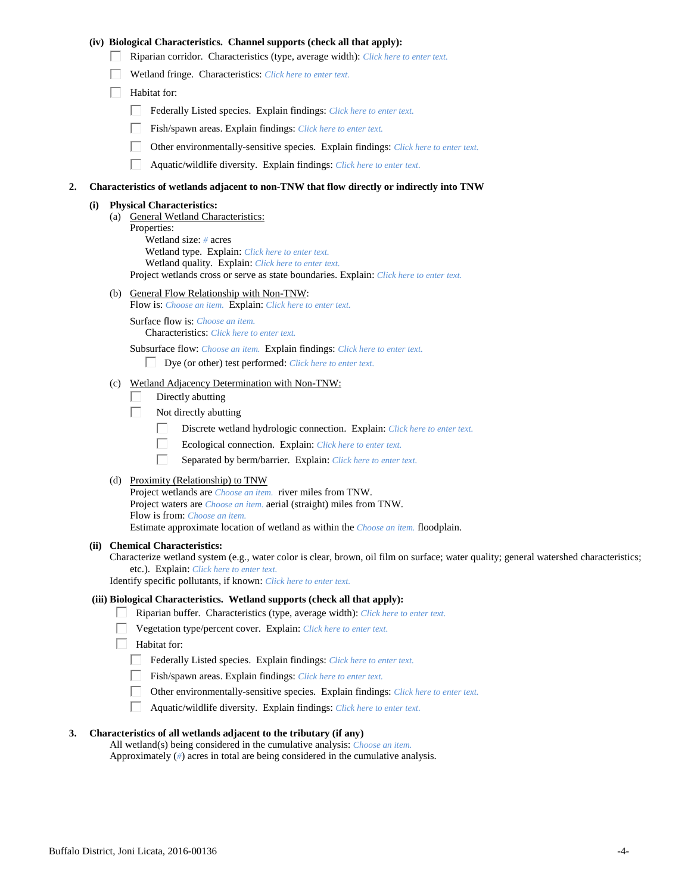### **(iv) Biological Characteristics. Channel supports (check all that apply):**

- Riparian corridor. Characteristics (type, average width): *Click here to enter text.*
- Wetland fringe. Characteristics: *Click here to enter text.*
- $\Box$  Habitat for:
	- Federally Listed species. Explain findings: *Click here to enter text.*
	- Fish/spawn areas. Explain findings: *Click here to enter text.*
	- Other environmentally-sensitive species. Explain findings: *Click here to enter text.*
	- $\Box$ Aquatic/wildlife diversity. Explain findings: *Click here to enter text.*

#### **2. Characteristics of wetlands adjacent to non-TNW that flow directly or indirectly into TNW**

#### **(i) Physical Characteristics:**

(a) General Wetland Characteristics: Properties: Wetland size: *#* acres Wetland type. Explain: *Click here to enter text.* Wetland quality. Explain: *Click here to enter text.* Project wetlands cross or serve as state boundaries. Explain: *Click here to enter text.*

(b) General Flow Relationship with Non-TNW:

Flow is: *Choose an item.* Explain: *Click here to enter text.*

Surface flow is: *Choose an item.* Characteristics: *Click here to enter text.*

Subsurface flow: *Choose an item.* Explain findings: *Click here to enter text.*

- Dye (or other) test performed: *Click here to enter text.*
- (c) Wetland Adjacency Determination with Non-TNW:
	- Directly abutting П.
	- П. Not directly abutting
		- П. Discrete wetland hydrologic connection. Explain: *Click here to enter text.*
		- П. Ecological connection. Explain: *Click here to enter text.*
		- П. Separated by berm/barrier. Explain: *Click here to enter text.*
- (d) Proximity (Relationship) to TNW

Project wetlands are *Choose an item.* river miles from TNW. Project waters are *Choose an item.* aerial (straight) miles from TNW. Flow is from: *Choose an item.* Estimate approximate location of wetland as within the *Choose an item.* floodplain.

#### **(ii) Chemical Characteristics:**

Characterize wetland system (e.g., water color is clear, brown, oil film on surface; water quality; general watershed characteristics; etc.). Explain: *Click here to enter text.*

Identify specific pollutants, if known: *Click here to enter text.*

#### **(iii) Biological Characteristics. Wetland supports (check all that apply):**

- Riparian buffer. Characteristics (type, average width): *Click here to enter text.*
	- Vegetation type/percent cover. Explain: *Click here to enter text.*
	- Habitat for:
		- Federally Listed species. Explain findings: *Click here to enter text*.
		- Fish/spawn areas. Explain findings: *Click here to enter text.*
		- Other environmentally-sensitive species. Explain findings: *Click here to enter text.*  $\Box$
		- $\Box$ Aquatic/wildlife diversity. Explain findings: *Click here to enter text.*

### **3. Characteristics of all wetlands adjacent to the tributary (if any)**

All wetland(s) being considered in the cumulative analysis: *Choose an item.* Approximately (*#*) acres in total are being considered in the cumulative analysis.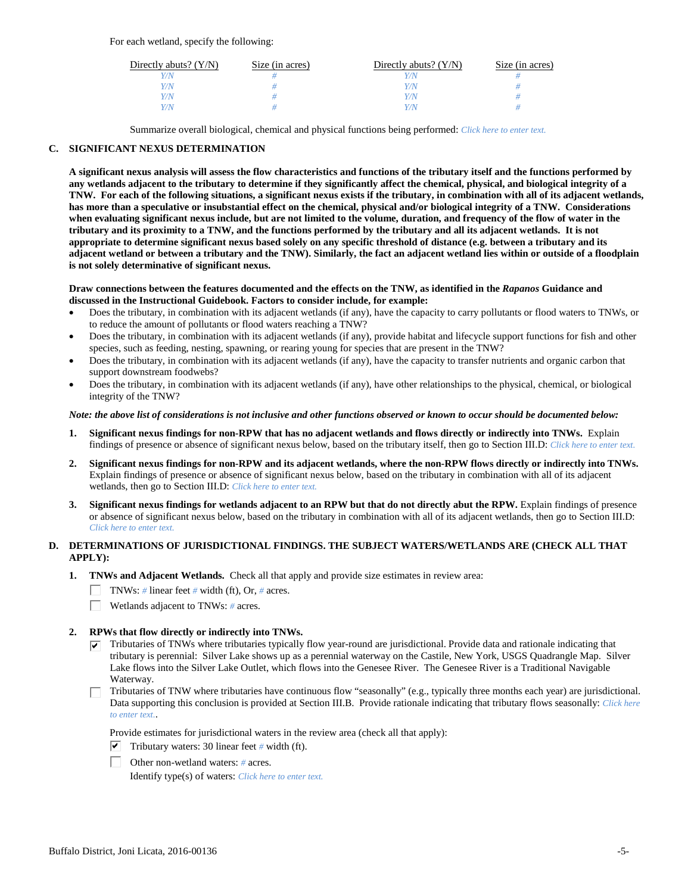For each wetland, specify the following:

| Directly abuts? $(Y/N)$ | Size (in acres) | Directly abuts? $(Y/N)$ | Size (in acres) |
|-------------------------|-----------------|-------------------------|-----------------|
| Y/N                     |                 |                         |                 |
| Y/N                     |                 | Y/N                     |                 |
| Y/N                     |                 | Y/N                     |                 |
| Y/N                     |                 | Y/N                     |                 |

Summarize overall biological, chemical and physical functions being performed: *Click here to enter text.*

## **C. SIGNIFICANT NEXUS DETERMINATION**

**A significant nexus analysis will assess the flow characteristics and functions of the tributary itself and the functions performed by any wetlands adjacent to the tributary to determine if they significantly affect the chemical, physical, and biological integrity of a TNW. For each of the following situations, a significant nexus exists if the tributary, in combination with all of its adjacent wetlands, has more than a speculative or insubstantial effect on the chemical, physical and/or biological integrity of a TNW. Considerations when evaluating significant nexus include, but are not limited to the volume, duration, and frequency of the flow of water in the tributary and its proximity to a TNW, and the functions performed by the tributary and all its adjacent wetlands. It is not appropriate to determine significant nexus based solely on any specific threshold of distance (e.g. between a tributary and its adjacent wetland or between a tributary and the TNW). Similarly, the fact an adjacent wetland lies within or outside of a floodplain is not solely determinative of significant nexus.** 

### **Draw connections between the features documented and the effects on the TNW, as identified in the** *Rapanos* **Guidance and discussed in the Instructional Guidebook. Factors to consider include, for example:**

- Does the tributary, in combination with its adjacent wetlands (if any), have the capacity to carry pollutants or flood waters to TNWs, or to reduce the amount of pollutants or flood waters reaching a TNW?
- Does the tributary, in combination with its adjacent wetlands (if any), provide habitat and lifecycle support functions for fish and other species, such as feeding, nesting, spawning, or rearing young for species that are present in the TNW?
- Does the tributary, in combination with its adjacent wetlands (if any), have the capacity to transfer nutrients and organic carbon that support downstream foodwebs?
- Does the tributary, in combination with its adjacent wetlands (if any), have other relationships to the physical, chemical, or biological integrity of the TNW?

### *Note: the above list of considerations is not inclusive and other functions observed or known to occur should be documented below:*

- **1. Significant nexus findings for non-RPW that has no adjacent wetlands and flows directly or indirectly into TNWs.** Explain findings of presence or absence of significant nexus below, based on the tributary itself, then go to Section III.D: *Click here to enter text.*
- **2. Significant nexus findings for non-RPW and its adjacent wetlands, where the non-RPW flows directly or indirectly into TNWs.**  Explain findings of presence or absence of significant nexus below, based on the tributary in combination with all of its adjacent wetlands, then go to Section III.D: *Click here to enter text.*
- **3. Significant nexus findings for wetlands adjacent to an RPW but that do not directly abut the RPW.** Explain findings of presence or absence of significant nexus below, based on the tributary in combination with all of its adjacent wetlands, then go to Section III.D: *Click here to enter text.*

# **D. DETERMINATIONS OF JURISDICTIONAL FINDINGS. THE SUBJECT WATERS/WETLANDS ARE (CHECK ALL THAT APPLY):**

- **1. TNWs and Adjacent Wetlands.** Check all that apply and provide size estimates in review area:
	- TNWs: *#* linear feet *#* width (ft), Or, *#* acres.
	- $\Box$ Wetlands adjacent to TNWs: *#* acres.

## **2. RPWs that flow directly or indirectly into TNWs.**

- $\triangledown$  Tributaries of TNWs where tributaries typically flow year-round are jurisdictional. Provide data and rationale indicating that tributary is perennial: Silver Lake shows up as a perennial waterway on the Castile, New York, USGS Quadrangle Map. Silver Lake flows into the Silver Lake Outlet, which flows into the Genesee River. The Genesee River is a Traditional Navigable Waterway.
- Tributaries of TNW where tributaries have continuous flow "seasonally" (e.g., typically three months each year) are jurisdictional. Data supporting this conclusion is provided at Section III.B. Provide rationale indicating that tributary flows seasonally: *Click here to enter text.*.

Provide estimates for jurisdictional waters in the review area (check all that apply):

- $\triangledown$  Tributary waters: 30 linear feet # width (ft).
- Other non-wetland waters: *#* acres.

Identify type(s) of waters: *Click here to enter text.*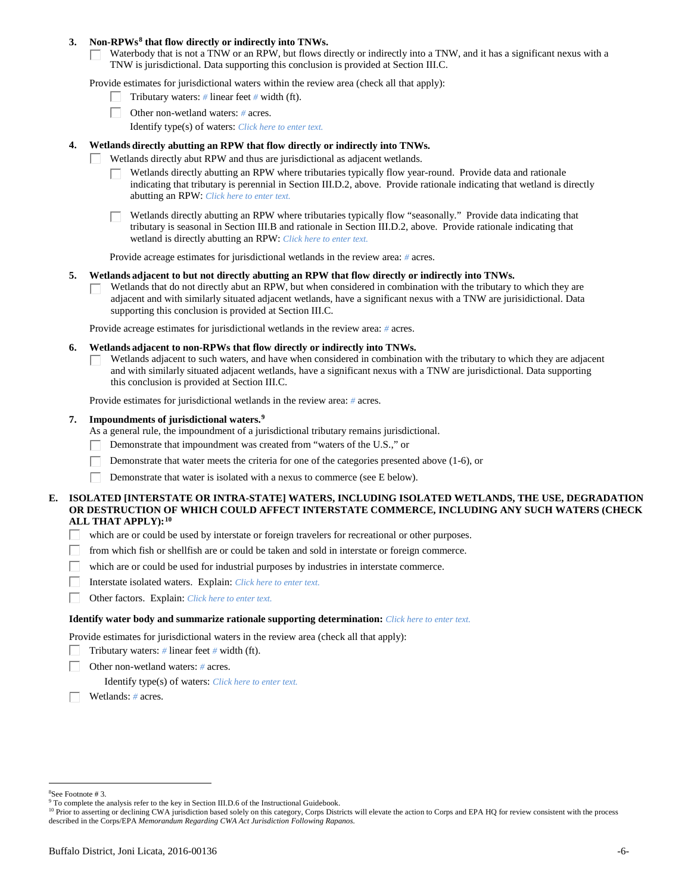### **3. Non-RPWs[8](#page-5-0) that flow directly or indirectly into TNWs.**

Waterbody that is not a TNW or an RPW, but flows directly or indirectly into a TNW, and it has a significant nexus with a TNW is jurisdictional. Data supporting this conclusion is provided at Section III.C.

Provide estimates for jurisdictional waters within the review area (check all that apply):

- Tributary waters: *#* linear feet *#* width (ft).  $\mathbf{L}$
- Other non-wetland waters: *#* acres.
	- Identify type(s) of waters: *Click here to enter text.*

### **4. Wetlands directly abutting an RPW that flow directly or indirectly into TNWs.**

- ГT. Wetlands directly abut RPW and thus are jurisdictional as adjacent wetlands.
	- Wetlands directly abutting an RPW where tributaries typically flow year-round. Provide data and rationale indicating that tributary is perennial in Section III.D.2, above. Provide rationale indicating that wetland is directly abutting an RPW: *Click here to enter text.*

Wetlands directly abutting an RPW where tributaries typically flow "seasonally." Provide data indicating that tributary is seasonal in Section III.B and rationale in Section III.D.2, above. Provide rationale indicating that wetland is directly abutting an RPW: *Click here to enter text.*

Provide acreage estimates for jurisdictional wetlands in the review area: *#* acres.

### **5. Wetlands adjacent to but not directly abutting an RPW that flow directly or indirectly into TNWs.**

Wetlands that do not directly abut an RPW, but when considered in combination with the tributary to which they are П adjacent and with similarly situated adjacent wetlands, have a significant nexus with a TNW are jurisidictional. Data supporting this conclusion is provided at Section III.C.

Provide acreage estimates for jurisdictional wetlands in the review area: *#* acres.

### **6. Wetlands adjacent to non-RPWs that flow directly or indirectly into TNWs.**

Wetlands adjacent to such waters, and have when considered in combination with the tributary to which they are adjacent П and with similarly situated adjacent wetlands, have a significant nexus with a TNW are jurisdictional. Data supporting this conclusion is provided at Section III.C.

Provide estimates for jurisdictional wetlands in the review area: *#* acres.

### **7. Impoundments of jurisdictional waters. [9](#page-5-1)**

As a general rule, the impoundment of a jurisdictional tributary remains jurisdictional.

- Demonstrate that impoundment was created from "waters of the U.S.," or
- Demonstrate that water meets the criteria for one of the categories presented above (1-6), or
- Demonstrate that water is isolated with a nexus to commerce (see E below). Г

### **E. ISOLATED [INTERSTATE OR INTRA-STATE] WATERS, INCLUDING ISOLATED WETLANDS, THE USE, DEGRADATION OR DESTRUCTION OF WHICH COULD AFFECT INTERSTATE COMMERCE, INCLUDING ANY SUCH WATERS (CHECK ALL THAT APPLY):[10](#page-5-2)**

- L. which are or could be used by interstate or foreign travelers for recreational or other purposes.
- from which fish or shellfish are or could be taken and sold in interstate or foreign commerce.
- which are or could be used for industrial purposes by industries in interstate commerce. П.
- Г Interstate isolated waters.Explain: *Click here to enter text.*
- П Other factors.Explain: *Click here to enter text.*

#### **Identify water body and summarize rationale supporting determination:** *Click here to enter text.*

Provide estimates for jurisdictional waters in the review area (check all that apply):

- Tributary waters: *#* linear feet *#* width (ft).
- Other non-wetland waters: *#* acres.

Identify type(s) of waters: *Click here to enter text.*

Wetlands: *#* acres.

<span id="page-5-0"></span> $\frac{1}{8}$ See Footnote # 3.

<sup>&</sup>lt;sup>9</sup> To complete the analysis refer to the key in Section III.D.6 of the Instructional Guidebook.

<span id="page-5-2"></span><span id="page-5-1"></span><sup>&</sup>lt;sup>10</sup> Prior to asserting or declining CWA jurisdiction based solely on this category, Corps Districts will elevate the action to Corps and EPA HQ for review consistent with the process described in the Corps/EPA *Memorandum Regarding CWA Act Jurisdiction Following Rapanos.*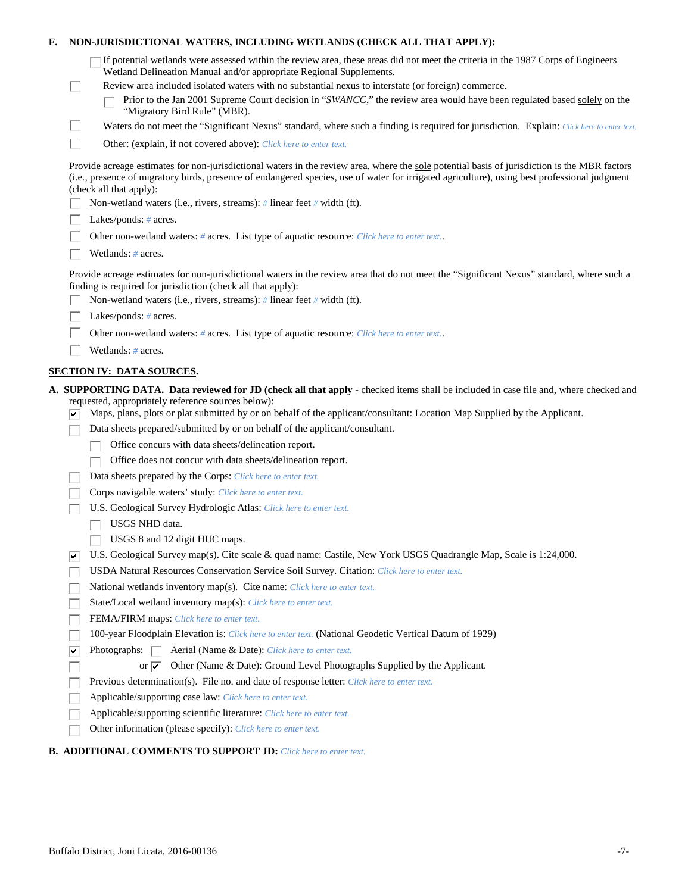| Е.                                                                                                                                                                                                                                                                                                                        |    | NON-JURISDICTIONAL WATERS, INCLUDING WETLANDS (CHECK ALL THAT APPLY):                                                                                                                                      |  |
|---------------------------------------------------------------------------------------------------------------------------------------------------------------------------------------------------------------------------------------------------------------------------------------------------------------------------|----|------------------------------------------------------------------------------------------------------------------------------------------------------------------------------------------------------------|--|
|                                                                                                                                                                                                                                                                                                                           |    | If potential wetlands were assessed within the review area, these areas did not meet the criteria in the 1987 Corps of Engineers<br>Wetland Delineation Manual and/or appropriate Regional Supplements.    |  |
|                                                                                                                                                                                                                                                                                                                           | L  | Review area included isolated waters with no substantial nexus to interstate (or foreign) commerce.                                                                                                        |  |
|                                                                                                                                                                                                                                                                                                                           |    | Prior to the Jan 2001 Supreme Court decision in "SWANCC," the review area would have been regulated based solely on the<br>"Migratory Bird Rule" (MBR).                                                    |  |
|                                                                                                                                                                                                                                                                                                                           | Ш  | Waters do not meet the "Significant Nexus" standard, where such a finding is required for jurisdiction. Explain: Click here to enter text.                                                                 |  |
|                                                                                                                                                                                                                                                                                                                           | П  | Other: (explain, if not covered above): Click here to enter text.                                                                                                                                          |  |
| Provide acreage estimates for non-jurisdictional waters in the review area, where the sole potential basis of jurisdiction is the MBR factors<br>(i.e., presence of migratory birds, presence of endangered species, use of water for irrigated agriculture), using best professional judgment<br>(check all that apply): |    |                                                                                                                                                                                                            |  |
|                                                                                                                                                                                                                                                                                                                           |    | Non-wetland waters (i.e., rivers, streams): # linear feet # width (ft).                                                                                                                                    |  |
|                                                                                                                                                                                                                                                                                                                           |    | Lakes/ponds: $# \, \text{acres.}$                                                                                                                                                                          |  |
|                                                                                                                                                                                                                                                                                                                           |    | Other non-wetland waters: # acres. List type of aquatic resource: Click here to enter text                                                                                                                 |  |
|                                                                                                                                                                                                                                                                                                                           |    | Wetlands: # acres.                                                                                                                                                                                         |  |
|                                                                                                                                                                                                                                                                                                                           |    | Provide acreage estimates for non-jurisdictional waters in the review area that do not meet the "Significant Nexus" standard, where such a<br>finding is required for jurisdiction (check all that apply): |  |
|                                                                                                                                                                                                                                                                                                                           |    | Non-wetland waters (i.e., rivers, streams): $\#$ linear feet $\#$ width (ft).                                                                                                                              |  |
|                                                                                                                                                                                                                                                                                                                           |    | Lakes/ponds: $# \, \text{acres.}$                                                                                                                                                                          |  |
|                                                                                                                                                                                                                                                                                                                           |    | Other non-wetland waters: # acres. List type of aquatic resource: Click here to enter text                                                                                                                 |  |
|                                                                                                                                                                                                                                                                                                                           |    | Wetlands: # acres.                                                                                                                                                                                         |  |
|                                                                                                                                                                                                                                                                                                                           |    | <b>SECTION IV: DATA SOURCES.</b>                                                                                                                                                                           |  |
|                                                                                                                                                                                                                                                                                                                           |    | A. SUPPORTING DATA. Data reviewed for JD (check all that apply - checked items shall be included in case file and, where checked and                                                                       |  |
|                                                                                                                                                                                                                                                                                                                           |    | requested, appropriately reference sources below):<br>Maps, plans, plots or plat submitted by or on behalf of the applicant/consultant: Location Map Supplied by the Applicant.                            |  |
|                                                                                                                                                                                                                                                                                                                           |    | Data sheets prepared/submitted by or on behalf of the applicant/consultant.                                                                                                                                |  |
|                                                                                                                                                                                                                                                                                                                           |    | Office concurs with data sheets/delineation report.                                                                                                                                                        |  |
|                                                                                                                                                                                                                                                                                                                           |    | Office does not concur with data sheets/delineation report.                                                                                                                                                |  |
|                                                                                                                                                                                                                                                                                                                           |    | Data sheets prepared by the Corps: Click here to enter text.                                                                                                                                               |  |
|                                                                                                                                                                                                                                                                                                                           |    | Corps navigable waters' study: Click here to enter text.                                                                                                                                                   |  |
|                                                                                                                                                                                                                                                                                                                           |    | U.S. Geological Survey Hydrologic Atlas: Click here to enter text.                                                                                                                                         |  |
|                                                                                                                                                                                                                                                                                                                           |    | USGS NHD data.                                                                                                                                                                                             |  |
|                                                                                                                                                                                                                                                                                                                           |    | USGS 8 and 12 digit HUC maps.                                                                                                                                                                              |  |
|                                                                                                                                                                                                                                                                                                                           | ∣✔ | U.S. Geological Survey map(s). Cite scale & quad name: Castile, New York USGS Quadrangle Map, Scale is 1:24,000.                                                                                           |  |
|                                                                                                                                                                                                                                                                                                                           |    | USDA Natural Resources Conservation Service Soil Survey. Citation: Click here to enter text.                                                                                                               |  |
|                                                                                                                                                                                                                                                                                                                           |    | National wetlands inventory map(s). Cite name: Click here to enter text.                                                                                                                                   |  |
|                                                                                                                                                                                                                                                                                                                           |    | State/Local wetland inventory map(s): Click here to enter text.                                                                                                                                            |  |
|                                                                                                                                                                                                                                                                                                                           |    | FEMA/FIRM maps: Click here to enter text.                                                                                                                                                                  |  |
|                                                                                                                                                                                                                                                                                                                           |    | 100-year Floodplain Elevation is: Click here to enter text. (National Geodetic Vertical Datum of 1929)                                                                                                     |  |
|                                                                                                                                                                                                                                                                                                                           | ⊽  | Photographs: $\Box$<br>Aerial (Name & Date): Click here to enter text.                                                                                                                                     |  |
|                                                                                                                                                                                                                                                                                                                           |    | Other (Name & Date): Ground Level Photographs Supplied by the Applicant.<br>or $\overline{\mathbf{v}}$                                                                                                     |  |
|                                                                                                                                                                                                                                                                                                                           |    | Previous determination(s). File no. and date of response letter: Click here to enter text.                                                                                                                 |  |
|                                                                                                                                                                                                                                                                                                                           |    | Applicable/supporting case law: Click here to enter text.                                                                                                                                                  |  |
|                                                                                                                                                                                                                                                                                                                           |    | Applicable/supporting scientific literature: Click here to enter text.                                                                                                                                     |  |
|                                                                                                                                                                                                                                                                                                                           |    | Other information (please specify): Click here to enter text.                                                                                                                                              |  |
|                                                                                                                                                                                                                                                                                                                           |    |                                                                                                                                                                                                            |  |

# **B. ADDITIONAL COMMENTS TO SUPPORT JD:** *Click here to enter text.*